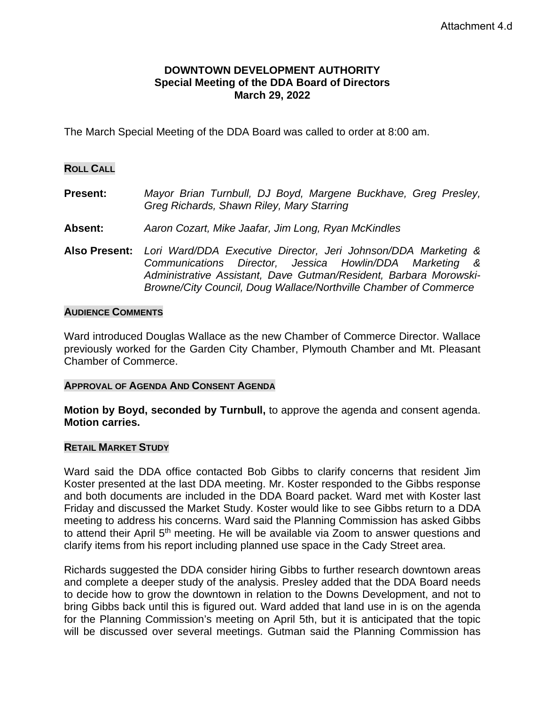## **DOWNTOWN DEVELOPMENT AUTHORITY Special Meeting of the DDA Board of Directors March 29, 2022**

The March Special Meeting of the DDA Board was called to order at 8:00 am.

### **ROLL CALL**

- **Present:** *Mayor Brian Turnbull, DJ Boyd, Margene Buckhave, Greg Presley, Greg Richards, Shawn Riley, Mary Starring*
- **Absent:** *Aaron Cozart, Mike Jaafar, Jim Long, Ryan McKindles*
- **Also Present:** *Lori Ward/DDA Executive Director, Jeri Johnson/DDA Marketing & Communications Director, Jessica Howlin/DDA Marketing & Administrative Assistant, Dave Gutman/Resident, Barbara Morowski-Browne/City Council, Doug Wallace/Northville Chamber of Commerce*

#### **AUDIENCE COMMENTS**

Ward introduced Douglas Wallace as the new Chamber of Commerce Director. Wallace previously worked for the Garden City Chamber, Plymouth Chamber and Mt. Pleasant Chamber of Commerce.

#### **APPROVAL OF AGENDA AND CONSENT AGENDA**

**Motion by Boyd, seconded by Turnbull,** to approve the agenda and consent agenda. **Motion carries.** 

#### **RETAIL MARKET STUDY**

Ward said the DDA office contacted Bob Gibbs to clarify concerns that resident Jim Koster presented at the last DDA meeting. Mr. Koster responded to the Gibbs response and both documents are included in the DDA Board packet. Ward met with Koster last Friday and discussed the Market Study. Koster would like to see Gibbs return to a DDA meeting to address his concerns. Ward said the Planning Commission has asked Gibbs to attend their April 5<sup>th</sup> meeting. He will be available via Zoom to answer questions and clarify items from his report including planned use space in the Cady Street area.

Richards suggested the DDA consider hiring Gibbs to further research downtown areas and complete a deeper study of the analysis. Presley added that the DDA Board needs to decide how to grow the downtown in relation to the Downs Development, and not to bring Gibbs back until this is figured out. Ward added that land use in is on the agenda for the Planning Commission's meeting on April 5th, but it is anticipated that the topic will be discussed over several meetings. Gutman said the Planning Commission has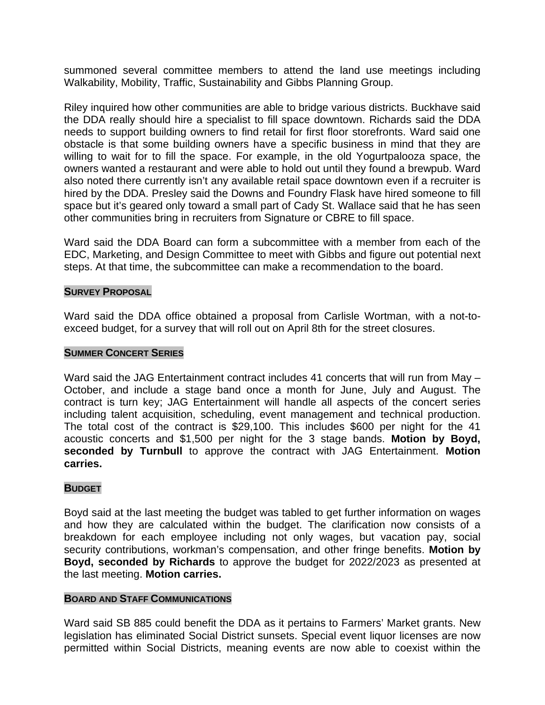summoned several committee members to attend the land use meetings including Walkability, Mobility, Traffic, Sustainability and Gibbs Planning Group.

Riley inquired how other communities are able to bridge various districts. Buckhave said the DDA really should hire a specialist to fill space downtown. Richards said the DDA needs to support building owners to find retail for first floor storefronts. Ward said one obstacle is that some building owners have a specific business in mind that they are willing to wait for to fill the space. For example, in the old Yogurtpalooza space, the owners wanted a restaurant and were able to hold out until they found a brewpub. Ward also noted there currently isn't any available retail space downtown even if a recruiter is hired by the DDA. Presley said the Downs and Foundry Flask have hired someone to fill space but it's geared only toward a small part of Cady St. Wallace said that he has seen other communities bring in recruiters from Signature or CBRE to fill space.

Ward said the DDA Board can form a subcommittee with a member from each of the EDC, Marketing, and Design Committee to meet with Gibbs and figure out potential next steps. At that time, the subcommittee can make a recommendation to the board.

## **SURVEY PROPOSAL**

Ward said the DDA office obtained a proposal from Carlisle Wortman, with a not-toexceed budget, for a survey that will roll out on April 8th for the street closures.

#### **SUMMER CONCERT SERIES**

Ward said the JAG Entertainment contract includes 41 concerts that will run from May -October, and include a stage band once a month for June, July and August. The contract is turn key; JAG Entertainment will handle all aspects of the concert series including talent acquisition, scheduling, event management and technical production. The total cost of the contract is \$29,100. This includes \$600 per night for the 41 acoustic concerts and \$1,500 per night for the 3 stage bands. **Motion by Boyd, seconded by Turnbull** to approve the contract with JAG Entertainment. **Motion carries.**

## **BUDGET**

Boyd said at the last meeting the budget was tabled to get further information on wages and how they are calculated within the budget. The clarification now consists of a breakdown for each employee including not only wages, but vacation pay, social security contributions, workman's compensation, and other fringe benefits. **Motion by Boyd, seconded by Richards** to approve the budget for 2022/2023 as presented at the last meeting. **Motion carries.** 

#### **BOARD AND STAFF COMMUNICATIONS**

Ward said SB 885 could benefit the DDA as it pertains to Farmers' Market grants. New legislation has eliminated Social District sunsets. Special event liquor licenses are now permitted within Social Districts, meaning events are now able to coexist within the